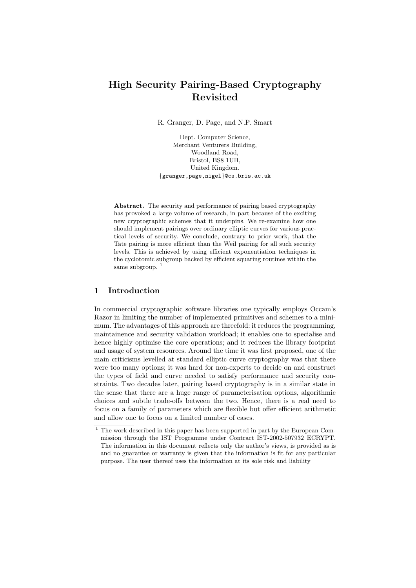# High Security Pairing-Based Cryptography Revisited

R. Granger, D. Page, and N.P. Smart

Dept. Computer Science, Merchant Venturers Building, Woodland Road, Bristol, BS8 1UB, United Kingdom. {granger,page,nigel}@cs.bris.ac.uk

Abstract. The security and performance of pairing based cryptography has provoked a large volume of research, in part because of the exciting new cryptographic schemes that it underpins. We re-examine how one should implement pairings over ordinary elliptic curves for various practical levels of security. We conclude, contrary to prior work, that the Tate pairing is more efficient than the Weil pairing for all such security levels. This is achieved by using efficient exponentiation techniques in the cyclotomic subgroup backed by efficient squaring routines within the same subgroup.  $1$ 

## 1 Introduction

In commercial cryptographic software libraries one typically employs Occam's Razor in limiting the number of implemented primitives and schemes to a minimum. The advantages of this approach are threefold: it reduces the programming, maintainence and security validation workload; it enables one to specialise and hence highly optimise the core operations; and it reduces the library footprint and usage of system resources. Around the time it was first proposed, one of the main criticisms levelled at standard elliptic curve cryptography was that there were too many options; it was hard for non-experts to decide on and construct the types of field and curve needed to satisfy performance and security constraints. Two decades later, pairing based cryptography is in a similar state in the sense that there are a huge range of parameterisation options, algorithmic choices and subtle trade-offs between the two. Hence, there is a real need to focus on a family of parameters which are flexible but offer efficient arithmetic and allow one to focus on a limited number of cases.

 $1$  The work described in this paper has been supported in part by the European Commission through the IST Programme under Contract IST-2002-507932 ECRYPT. The information in this document reflects only the author's views, is provided as is and no guarantee or warranty is given that the information is fit for any particular purpose. The user thereof uses the information at its sole risk and liability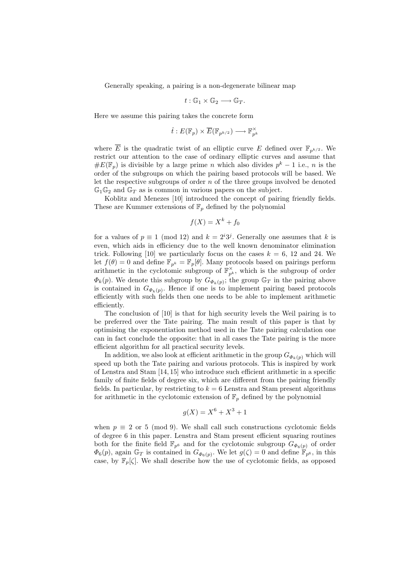Generally speaking, a pairing is a non-degenerate bilinear map

$$
t:\mathbb{G}_1\times\mathbb{G}_2\longrightarrow\mathbb{G}_T.
$$

Here we assume this pairing takes the concrete form

$$
\hat{t}: E(\mathbb{F}_p) \times \overline{E}(\mathbb{F}_{p^{k/2}}) \longrightarrow \mathbb{F}_{p^k}^{\times}
$$

where  $\overline{E}$  is the quadratic twist of an elliptic curve E defined over  $\mathbb{F}_{p^{k/2}}$ . We restrict our attention to the case of ordinary elliptic curves and assume that  $\#E(\mathbb{F}_p)$  is divisible by a large prime n which also divides  $p^k - 1$  i.e., n is the order of the subgroups on which the pairing based protocols will be based. We let the respective subgroups of order  $n$  of the three groups involved be denoted  $\mathbb{G}_1\mathbb{G}_2$  and  $\mathbb{G}_T$  as is common in various papers on the subject.

Koblitz and Menezes [10] introduced the concept of pairing friendly fields. These are Kummer extensions of  $\mathbb{F}_p$  defined by the polynomial

$$
f(X) = X^k + f_0
$$

for a values of  $p \equiv 1 \pmod{12}$  and  $k = 2^i 3^j$ . Generally one assumes that k is even, which aids in efficiency due to the well known denominator elimination trick. Following [10] we particularly focus on the cases  $k = 6, 12$  and 24. We let  $f(\theta) = 0$  and define  $\mathbb{F}_{p^k} = \mathbb{F}_p[\theta]$ . Many protocols based on pairings perform arithmetic in the cyclotomic subgroup of  $\mathbb{F}_{p^k}^{\times}$ , which is the subgroup of order  $\Phi_k(p)$ . We denote this subgroup by  $G_{\Phi_k(p)}$ ; the group  $\mathbb{G}_T$  in the pairing above is contained in  $G_{\Phi_k(p)}$ . Hence if one is to implement pairing based protocols efficiently with such fields then one needs to be able to implement arithmetic efficiently.

The conclusion of [10] is that for high security levels the Weil pairing is to be preferred over the Tate pairing. The main result of this paper is that by optimising the exponentiation method used in the Tate pairing calculation one can in fact conclude the opposite: that in all cases the Tate pairing is the more efficient algorithm for all practical security levels.

In addition, we also look at efficient arithmetic in the group  $G_{\Phi_k(p)}$  which will speed up both the Tate pairing and various protocols. This is inspired by work of Lenstra and Stam [14, 15] who introduce such efficient arithmetic in a specific family of finite fields of degree six, which are different from the pairing friendly fields. In particular, by restricting to  $k = 6$  Lenstra and Stam present algorithms for arithmetic in the cyclotomic extension of  $\mathbb{F}_p$  defined by the polynomial

$$
g(X) = X^6 + X^3 + 1
$$

when  $p \equiv 2$  or 5 (mod 9). We shall call such constructions cyclotomic fields of degree 6 in this paper. Lenstra and Stam present efficient squaring routines both for the finite field  $\mathbb{F}_{p^6}$  and for the cyclotomic subgroup  $G_{\Phi_6(p)}$  of order  $\Phi_6(p)$ , again  $\mathbb{G}_T$  is contained in  $G_{\Phi_6(p)}$ . We let  $g(\zeta) = 0$  and define  $\mathbb{F}_{p^6}$ , in this case, by  $\mathbb{F}_p[\zeta]$ . We shall describe how the use of cyclotomic fields, as opposed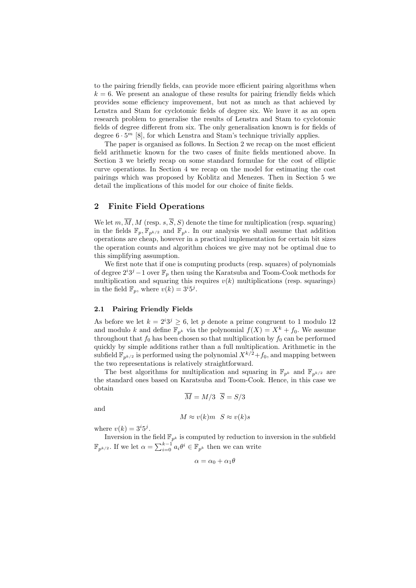to the pairing friendly fields, can provide more efficient pairing algorithms when  $k = 6$ . We present an analogue of these results for pairing friendly fields which provides some efficiency improvement, but not as much as that achieved by Lenstra and Stam for cyclotomic fields of degree six. We leave it as an open research problem to generalise the results of Lenstra and Stam to cyclotomic fields of degree different from six. The only generalisation known is for fields of degree  $6 \cdot 5^m$  [8], for which Lenstra and Stam's technique trivially applies.

The paper is organised as follows. In Section 2 we recap on the most efficient field arithmetic known for the two cases of finite fields mentioned above. In Section 3 we briefly recap on some standard formulae for the cost of elliptic curve operations. In Section 4 we recap on the model for estimating the cost pairings which was proposed by Koblitz and Menezes. Then in Section 5 we detail the implications of this model for our choice of finite fields.

#### 2 Finite Field Operations

We let  $m, \overline{M}, M$  (resp. s,  $\overline{S}, S$ ) denote the time for multiplication (resp. squaring) in the fields  $\mathbb{F}_p, \mathbb{F}_{p^{k/2}}$  and  $\mathbb{F}_{p^k}$ . In our analysis we shall assume that addition operations are cheap, however in a practical implementation for certain bit sizes the operation counts and algorithm choices we give may not be optimal due to this simplifying assumption.

We first note that if one is computing products (resp. squares) of polynomials of degree  $2^{i}3^{j}-1$  over  $\mathbb{F}_{p}$  then using the Karatsuba and Toom-Cook methods for multiplication and squaring this requires  $v(k)$  multiplications (resp. squarings) in the field  $\mathbb{F}_p$ , where  $v(k) = 3^i 5^j$ .

#### 2.1 Pairing Friendly Fields

As before we let  $k = 2^{i}3^{j} \geq 6$ , let p denote a prime congruent to 1 modulo 12 and modulo k and define  $\mathbb{F}_{p^k}$  via the polynomial  $f(X) = X^k + f_0$ . We assume throughout that  $f_0$  has been chosen so that multiplication by  $f_0$  can be performed quickly by simple additions rather than a full multiplication. Arithmetic in the subfield  $\mathbb{F}_{n^{k/2}}$  is performed using the polynomial  $X^{k/2}+f_0$ , and mapping between the two representations is relatively straightforward.

The best algorithms for multiplication and squaring in  $\mathbb{F}_{p^k}$  and  $\mathbb{F}_{p^{k/2}}$  are the standard ones based on Karatsuba and Toom-Cook. Hence, in this case we obtain

$$
\overline{M} = M/3 \quad \overline{S} = S/3
$$

and

$$
M \approx v(k)m \quad S \approx v(k)s
$$

where  $v(k) = 3^i 5^j$ .

Inversion in the field  $\mathbb{F}_{p^k}$  is computed by reduction to inversion in the subfield  $\mathbb{F}_{p^{k/2}}$ . If we let  $\alpha = \sum_{i=0}^{k-1} a_i \theta^i \in \mathbb{F}_{p^k}$  then we can write

$$
\alpha=\alpha_0+\alpha_1\theta
$$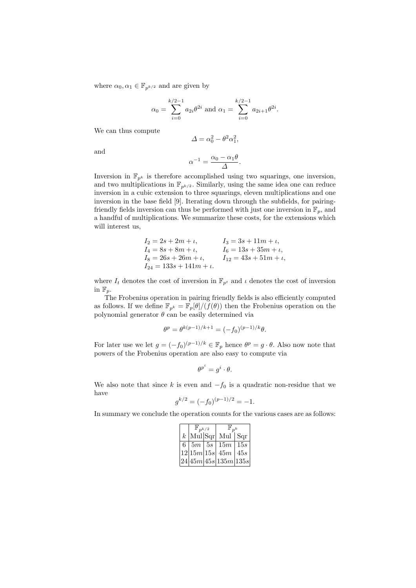where  $\alpha_0, \alpha_1 \in \mathbb{F}_{p^{k/2}}$  and are given by

$$
\alpha_0 = \sum_{i=0}^{k/2-1} a_{2i} \theta^{2i} \text{ and } \alpha_1 = \sum_{i=0}^{k/2-1} a_{2i+1} \theta^{2i}.
$$

We can thus compute

$$
\Delta = \alpha_0^2 - \theta^2 \alpha_1^2,
$$

and

$$
\alpha^{-1} = \frac{\alpha_0 - \alpha_1 \theta}{\Delta}.
$$

Inversion in  $\mathbb{F}_{p^k}$  is therefore accomplished using two squarings, one inversion, and two multiplications in  $\mathbb{F}_{p^{k/2}}$ . Similarly, using the same idea one can reduce inversion in a cubic extension to three squarings, eleven multiplications and one inversion in the base field [9]. Iterating down through the subfields, for pairingfriendly fields inversion can thus be performed with just one inversion in  $\mathbb{F}_p$ , and a handful of multiplications. We summarize these costs, for the extensions which will interest us,

$$
\begin{array}{ll} I_2=2s+2m+\iota, & I_3=3s+11m+\iota, \\ I_4=8s+8m+\iota, & I_6=13s+35m+\iota, \\ I_8=26s+26m+\iota, & I_{12}=43s+51m+\iota, \\ I_{24}=133s+141m+\iota. \end{array}
$$

where  $I_t$  denotes the cost of inversion in  $\mathbb{F}_{p^t}$  and  $\iota$  denotes the cost of inversion in  $\mathbb{F}_p$ .

The Frobenius operation in pairing friendly fields is also efficiently computed as follows. If we define  $\mathbb{F}_{p^k} = \mathbb{F}_p[\theta]/(f(\theta))$  then the Frobenius operation on the polynomial generator  $\theta$  can be easily determined via

$$
\theta^p = \theta^{k(p-1)/k+1} = (-f_0)^{(p-1)/k} \theta.
$$

For later use we let  $g = (-f_0)^{(p-1)/k} \in \mathbb{F}_p$  hence  $\theta^p = g \cdot \theta$ . Also now note that powers of the Frobenius operation are also easy to compute via

$$
\theta^{p^i} = g^i \cdot \theta.
$$

We also note that since k is even and  $-f_0$  is a quadratic non-residue that we have

$$
g^{k/2} = (-f_0)^{(p-1)/2} = -1.
$$

In summary we conclude the operation counts for the various cases are as follows:

|  | $\mathbb{F}_{p^{k/2}}$ | $\mathbb{F}_{n^k}$                                                      |  |  |
|--|------------------------|-------------------------------------------------------------------------|--|--|
|  |                        | $k \left[ \text{Mul}   \text{Sqr}   \text{ Mul}   \text{Sqr}   \right]$ |  |  |
|  |                        | $6 \mid 5m \mid 5s \mid 15m \mid 15s \mid$                              |  |  |
|  |                        | 12 15m 15s 45m 45s                                                      |  |  |
|  |                        | 24 45m 45s 135m 135s                                                    |  |  |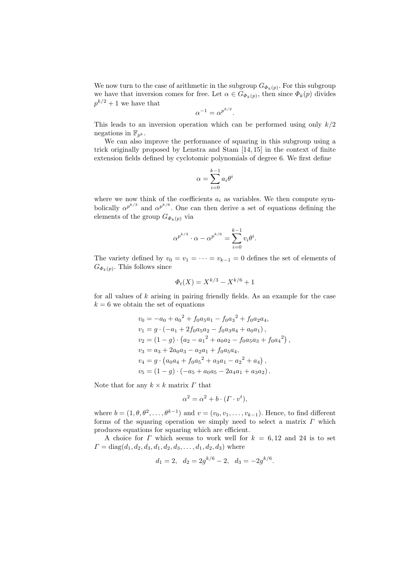We now turn to the case of arithmetic in the subgroup  $G_{\Phi_k(p)}$ . For this subgroup we have that inversion comes for free. Let  $\alpha \in G_{\Phi_k(p)}$ , then since  $\Phi_k(p)$  divides  $p^{k/2}+1$  we have that

$$
\alpha^{-1} = \alpha^{p^{k/2}}.
$$

This leads to an inversion operation which can be performed using only  $k/2$ negations in  $\mathbb{F}_{p^k}$ .

We can also improve the performance of squaring in this subgroup using a trick originally proposed by Lenstra and Stam [14, 15] in the context of finite extension fields defined by cyclotomic polynomials of degree 6. We first define

$$
\alpha = \sum_{i=0}^{k-1} a_i \theta^i
$$

where we now think of the coefficients  $a_i$  as variables. We then compute symbolically  $\alpha^{p^{k/3}}$  and  $\alpha^{p^{k/6}}$ . One can then derive a set of equations defining the elements of the group  $G_{\Phi_k(p)}$  via

$$
\alpha^{p^{k/3}} \cdot \alpha - \alpha^{p^{k/6}} = \sum_{i=0}^{k-1} v_i \theta^i.
$$

The variety defined by  $v_0 = v_1 = \cdots = v_{k-1} = 0$  defines the set of elements of  $G_{\Phi_k(p)}$ . This follows since

$$
\Phi_t(X) = X^{k/3} - X^{k/6} + 1
$$

for all values of  $k$  arising in pairing friendly fields. As an example for the case  $k = 6$  we obtain the set of equations

$$
v_0 = -a_0 + a_0^2 + f_0 a_5 a_1 - f_0 a_3^2 + f_0 a_2 a_4,
$$
  
\n
$$
v_1 = g \cdot (-a_1 + 2f_0 a_5 a_2 - f_0 a_3 a_4 + a_0 a_1),
$$
  
\n
$$
v_2 = (1 - g) \cdot (a_2 - a_1^2 + a_0 a_2 - f_0 a_5 a_3 + f_0 a_4^2),
$$
  
\n
$$
v_3 = a_3 + 2a_0 a_3 - a_2 a_1 + f_0 a_5 a_4,
$$
  
\n
$$
v_4 = g \cdot (a_0 a_4 + f_0 a_5^2 + a_3 a_1 - a_2^2 + a_4),
$$
  
\n
$$
v_5 = (1 - g) \cdot (-a_5 + a_0 a_5 - 2a_4 a_1 + a_3 a_2).
$$

Note that for any  $k \times k$  matrix  $\Gamma$  that

$$
\alpha^2 = \alpha^2 + b \cdot (\Gamma \cdot v^t),
$$

where  $b = (1, \theta, \theta^2, \dots, \theta^{k-1})$  and  $v = (v_0, v_1, \dots, v_{k-1})$ . Hence, to find different forms of the squaring operation we simply need to select a matrix  $\Gamma$  which produces equations for squaring which are efficient.

A choice for  $\Gamma$  which seems to work well for  $k = 6, 12$  and 24 is to set  $\Gamma = \text{diag}(d_1, d_2, d_3, d_1, d_2, d_3, \ldots, d_1, d_2, d_3)$  where

$$
d_1 = 2
$$
,  $d_2 = 2g^{k/6} - 2$ ,  $d_3 = -2g^{k/6}$ .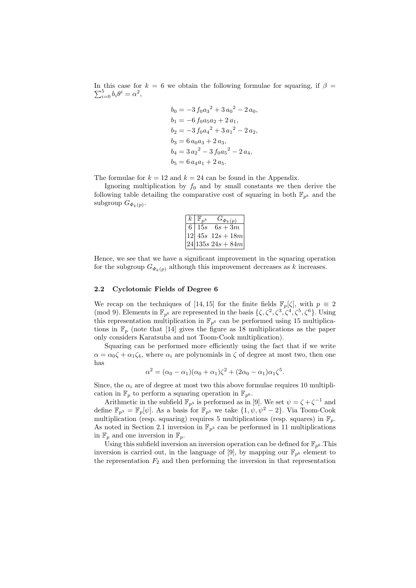In this case for  $k = 6$  we obtain the following formulae for squaring, if  $\beta =$  $\sum_{i=0}^{5} b_i \theta^i = \alpha^2$ ,

$$
b_0 = -3 f_0 a_3^2 + 3 a_0^2 - 2 a_0,
$$
  
\n
$$
b_1 = -6 f_0 a_5 a_2 + 2 a_1,
$$
  
\n
$$
b_2 = -3 f_0 a_4^2 + 3 a_1^2 - 2 a_2,
$$
  
\n
$$
b_3 = 6 a_0 a_3 + 2 a_3,
$$
  
\n
$$
b_4 = 3 a_2^2 - 3 f_0 a_5^2 - 2 a_4,
$$
  
\n
$$
b_5 = 6 a_4 a_1 + 2 a_5.
$$

The formulae for  $k = 12$  and  $k = 24$  can be found in the Appendix.

Ignoring multiplication by  $f_0$  and by small constants we then derive the following table detailing the comparative cost of squaring in both  $\mathbb{F}_{p^k}$  and the subgroup  $G_{\Phi_k(p)}$ .

| k. | $\mathbb{F}_{p^k}$ | $G_{\Phi_k(p)}$     |
|----|--------------------|---------------------|
| 6  | $\vert$ 15s        | $6s+3m$             |
|    |                    | $12 45s\ 12s+18m $  |
|    |                    | $24 135s\;24s+84m $ |

Hence, we see that we have a significant improvement in the squaring operation for the subgroup  $G_{\Phi_k(p)}$  although this improvement decreases as k increases.

#### 2.2 Cyclotomic Fields of Degree 6

We recap on the techniques of [14, 15] for the finite fields  $\mathbb{F}_p[\zeta]$ , with  $p \equiv 2$ (mod 9). Elements in  $\mathbb{F}_{p^6}$  are represented in the basis  $\{\zeta, \zeta^2, \zeta^3, \zeta^4, \zeta^5, \zeta^6\}$ . Using this representation multiplication in  $\mathbb{F}_{p^6}$  can be performed using 15 multiplications in  $\mathbb{F}_p$  (note that [14] gives the figure as 18 multiplications as the paper only considers Karatsuba and not Toom-Cook multiplication).

Squaring can be performed more efficiently using the fact that if we write  $\alpha = \alpha_0 \zeta + \alpha_1 \zeta_4$ , where  $\alpha_i$  are polynomials in  $\zeta$  of degree at most two, then one has

$$
\alpha^2 = (\alpha_0 - \alpha_1)(\alpha_0 + \alpha_1)\zeta^2 + (2\alpha_0 - \alpha_1)\alpha_1\zeta^5.
$$

Since, the  $\alpha_i$  are of degree at most two this above formulae requires 10 multiplication in  $\mathbb{F}_p$  to perform a squaring operation in  $\mathbb{F}_{p^6}$ .

Arithmetic in the subfield  $\mathbb{F}_{p^3}$  is performed as in [9]. We set  $\psi = \zeta + \zeta^{-1}$  and define  $\mathbb{F}_{p^3} = \mathbb{F}_p[\psi]$ . As a basis for  $\mathbb{F}_{p^3}$  we take  $\{1, \psi, \psi^2 - 2\}$ . Via Toom-Cook multiplication (resp. squaring) requires 5 multiplications (resp. squares) in  $\mathbb{F}_p$ . As noted in Section 2.1 inversion in  $\mathbb{F}_{p^3}$  can be performed in 11 multiplications in  $\mathbb{F}_p$  and one inversion in  $\mathbb{F}_p$ .

Using this subfield inversion an inversion operation can be defined for  $\mathbb{F}_{p^6}$ . This inversion is carried out, in the language of [9], by mapping our  $\mathbb{F}_{p^6}$  element to the representation  $F_2$  and then performing the inversion in that representation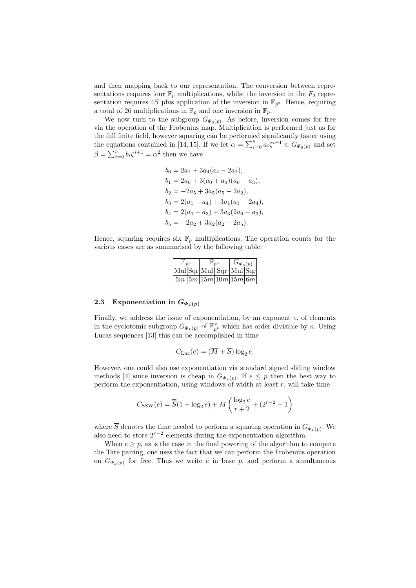and then mapping back to our representation. The conversion between representations requires four  $\mathbb{F}_p$  multiplications, whilst the inversion in the  $F_2$  representation requires  $4\overline{S}$  plus application of the inversion in  $\mathbb{F}_{p^3}$ . Hence, requiring a total of 26 multiplications in  $\mathbb{F}_p$  and one inversion in  $\mathbb{F}_p$ .

We now turn to the subgroup  $G_{\Phi_6(p)}$ . As before, inversion comes for free via the operation of the Frobenius map. Multiplication is performed just as for the full finite field, however squaring can be performed significantly faster using the equations contained in [14, 15]. If we let  $\alpha = \sum_{i=0}^{5} a_i \zeta^{i+1} \in G_{\Phi_6(p)}$  and set  $\beta = \sum_{i=0}^{5} b_i \zeta^{i+1} = \alpha^2$  then we have

```
b_0 = 2a_1 + 3a_4(a_4 - 2a_1),b_1 = 2a_0 + 3(a_0 + a_3)(a_0 - a_3),b_2 = -2a_5 + 3a_5(a_5 - 2a_2),b_3 = 2(a_1 - a_4) + 3a_1(a_1 - 2a_4),b_4 = 2(a_0 - a_3) + 3a_3(2a_0 - a_3),b_5 = -2a_2 + 3a_2(a_2 - 2a_5).
```
Hence, squaring requires six  $\mathbb{F}_p$  multiplications. The operation counts for the various cases are as summarised by the following table:

|  |  |                                                                                 |  | $G_{\Phi_6(p)}$ |  |  |
|--|--|---------------------------------------------------------------------------------|--|-----------------|--|--|
|  |  | $\vert$ Mul $\vert$ Sqr $\vert$ Mul $\vert$ Sqr $\vert$ Mul $\vert$ Sqr $\vert$ |  |                 |  |  |
|  |  | $5m   5m   15m   \overline{10m}   15m   6m$                                     |  |                 |  |  |

#### 2.3 Exponentiation in  $G_{\Phi_k(p)}$

Finally, we address the issue of exponentiation, by an exponent  $e$ , of elements in the cyclotomic subgroup  $G_{\Phi_k(p)}$  of  $\mathbb{F}_{p^k}^{\times}$  which has order divisible by n. Using Lucas sequences [13] this can be accomplished in time

$$
C_{\text{Luc}}(e) = (\overline{M} + \overline{S}) \log_2 e.
$$

However, one could also use exponentiation via standard signed sliding window methods [4] since inversion is cheap in  $G_{\Phi_k(p)}$ . If  $e \leq p$  then the best way to perform the exponentiation, using windows of width at least  $r$ , will take time

$$
C_{SSW}(e) = \overline{\overline{S}}(1 + \log_2 e) + M\left(\frac{\log_2 e}{r+2} + (2^{r-2} - 1)\right)
$$

where  $\overline{S}$  denotes the time needed to perform a squaring operation in  $G_{\Phi_k(p)}$ . We also need to store  $2^{r-2}$  elements during the exponentiation algorithm.

When  $e \geq p$ , as is the case in the final powering of the algorithm to compute the Tate pairing, one uses the fact that we can perform the Frobenius operation on  $G_{\Phi_k(p)}$  for free. Thus we write e in base p, and perform a simultaneous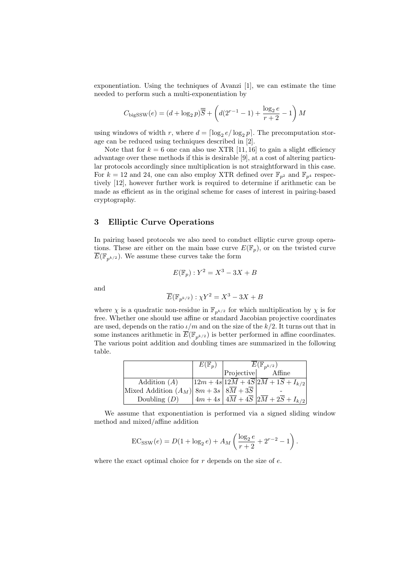exponentiation. Using the techniques of Avanzi [1], we can estimate the time needed to perform such a multi-exponentiation by

$$
C_{\text{bigSSW}}(e) = (d + \log_2 p)\overline{\overline{S}} + \left(d(2^{r-1} - 1) + \frac{\log_2 e}{r+2} - 1\right)M
$$

using windows of width r, where  $d = \lceil \log_2 e / \log_2 p \rceil$ . The precomputation storage can be reduced using techniques described in [2].

Note that for  $k = 6$  one can also use XTR [11, 16] to gain a slight efficiency advantage over these methods if this is desirable [9], at a cost of altering particular protocols accordingly since multiplication is not straightforward in this case. For  $k = 12$  and 24, one can also employ XTR defined over  $\mathbb{F}_{p^2}$  and  $\mathbb{F}_{p^4}$  respectively [12], however further work is required to determine if arithmetic can be made as efficient as in the original scheme for cases of interest in pairing-based cryptography.

## 3 Elliptic Curve Operations

In pairing based protocols we also need to conduct elliptic curve group operations. These are either on the main base curve  $E(\mathbb{F}_p)$ , or on the twisted curve  $\overline{E}(\mathbb{F}_{n^{k/2}})$ . We assume these curves take the form

$$
E(\mathbb{F}_p): Y^2 = X^3 - 3X + B
$$

and

$$
\overline{E}(\mathbb{F}_{p^{k/2}}): \chi Y^2 = X^3 - 3X + B
$$

where  $\chi$  is a quadratic non-residue in  $\mathbb{F}_{p^{k/2}}$  for which multiplication by  $\chi$  is for free. Whether one should use affine or standard Jacobian projective coordinates are used, depends on the ratio  $\iota/m$  and on the size of the  $k/2$ . It turns out that in some instances arithmetic in  $\overline{E}(\mathbb{F}_{p^{k/2}})$  is better performed in affine coordinates. The various point addition and doubling times are summarized in the following table.

|                                                                  | $E(\mathbb{F}_p)$ | $\overline{E}(\mathbb{F}_{p^{k/2}})$ |                                                                                                                       |  |
|------------------------------------------------------------------|-------------------|--------------------------------------|-----------------------------------------------------------------------------------------------------------------------|--|
|                                                                  |                   | Projective                           | Affine                                                                                                                |  |
| Addition $(A)$                                                   |                   |                                      | $ 12m+4s 12\overline{M}+4\overline{S} 2\overline{M}+1\overline{S}+I_{k/2} $                                           |  |
| Mixed Addition $(A_M)$ $8m + 3s$ $8\overline{M} + 3\overline{S}$ |                   |                                      |                                                                                                                       |  |
| Doubling $(D)$                                                   |                   |                                      | $4m+4s\left[\right.4\overline{M}+4\overline{S}\left.\right.\left\vert 2\overline{M}+2\overline{S}+I_{k/2}\right\vert$ |  |

We assume that exponentiation is performed via a signed sliding window method and mixed/affine addition

$$
EC_{SSW}(e) = D(1 + \log_2 e) + A_M \left( \frac{\log_2 e}{r+2} + 2^{r-2} - 1 \right).
$$

where the exact optimal choice for  $r$  depends on the size of  $e$ .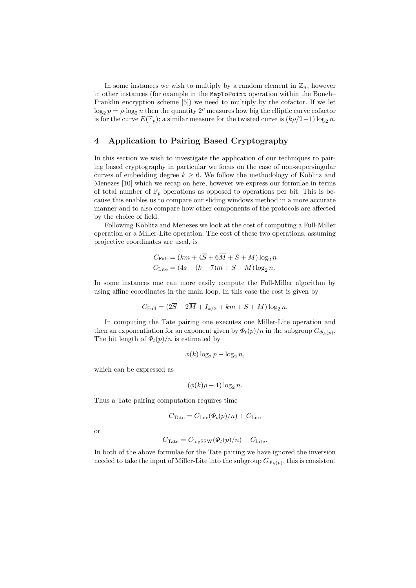In some instances we wish to multiply by a random element in  $\mathbb{Z}_n$ , however in other instances (for example in the MapToPoint operation within the Boneh– Franklin encryption scheme [5]) we need to multiply by the cofactor. If we let  $\log_2 p = \rho \cdot \log_2 n$  then the quantity  $2^{\rho}$  measures how big the elliptic curve cofactor is for the curve  $E(\mathbb{F}_p)$ ; a similar measure for the twisted curve is  $(k\rho/2-1)\log_2 n$ .

#### 4 Application to Pairing Based Cryptography

In this section we wish to investigate the application of our techniques to pairing based cryptography in particular we focus on the case of non-supersingular curves of embedding degree  $k \geq 6$ . We follow the methodology of Koblitz and Menezes [10] which we recap on here, however we express our formulae in terms of total number of  $\mathbb{F}_p$  operations as opposed to operations per bit. This is because this enables us to compare our sliding windows method in a more accurate manner and to also compare how other components of the protocols are affected by the choice of field.

Following Koblitz and Menezes we look at the cost of computing a Full-Miller operation or a Miller-Lite operation. The cost of these two operations, assuming projective coordinates are used, is

$$
C_{\text{Full}} = (km + 4\overline{S} + 6\overline{M} + S + M) \log_2 n
$$
  
\n
$$
C_{\text{Like}} = (4s + (k + 7)m + S + M) \log_2 n.
$$

In some instances one can more easily compute the Full-Miller algorithm by using affine coordinates in the main loop. In this case the cost is given by

$$
C_{\text{Full}} = (2\overline{S} + 2\overline{M} + I_{k/2} + km + S + M)\log_2 n.
$$

In computing the Tate pairing one executes one Miller-Lite operation and then an exponentiation for an exponent given by  $\Phi_t(p)/n$  in the subgroup  $G_{\Phi_k(p)}$ . The bit length of  $\Phi_t(p)/n$  is estimated by

$$
\phi(k) \log_2 p - \log_2 n,
$$

which can be expressed as

$$
(\phi(k)\rho - 1)\log_2 n.
$$

Thus a Tate pairing computation requires time

$$
C_{\text{Tate}} = C_{\text{Luc}}(\Phi_t(p)/n) + C_{\text{Like}}
$$

or

$$
C_{\text{Tate}} = C_{\text{bigSSW}}(\Phi_t(p)/n) + C_{\text{Like}}.
$$

In both of the above formulae for the Tate pairing we have ignored the inversion needed to take the input of Miller-Lite into the subgroup  $G_{\Phi_k(p)}$ , this is consistent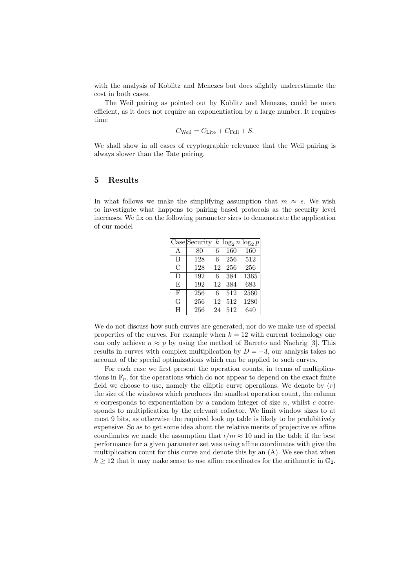with the analysis of Koblitz and Menezes but does slightly underestimate the cost in both cases.

The Weil pairing as pointed out by Koblitz and Menezes, could be more efficient, as it does not require an exponentiation by a large number. It requires time

$$
C_{\text{Weil}} = C_{\text{Like}} + C_{\text{Full}} + S.
$$

We shall show in all cases of cryptographic relevance that the Weil pairing is always slower than the Tate pairing.

#### 5 Results

In what follows we make the simplifying assumption that  $m \approx s$ . We wish to investigate what happens to pairing based protocols as the security level increases. We fix on the following parameter sizes to demonstrate the application of our model

|               | $ {\rm Case} $ Security $k \log_2 n \log_2 p$ |    |     |      |
|---------------|-----------------------------------------------|----|-----|------|
| A             | 80                                            | 6  | 160 | 160  |
| B             | 128                                           | 6  | 256 | 512  |
| $\mathcal{C}$ | 128                                           | 12 | 256 | 256  |
| D             | 192                                           | 6  | 384 | 1365 |
| E             | 192                                           | 12 | 384 | 683  |
| F             | 256                                           | 6  | 512 | 2560 |
| G             | 256                                           | 12 | 512 | 1280 |
| H             | 256                                           | 24 | 512 | 640  |

We do not discuss how such curves are generated, nor do we make use of special properties of the curves. For example when  $k = 12$  with current technology one can only achieve  $n \approx p$  by using the method of Barreto and Naehrig [3]. This results in curves with complex multiplication by  $D = -3$ , our analysis takes no account of the special optimizations which can be applied to such curves.

For each case we first present the operation counts, in terms of multiplications in  $\mathbb{F}_p$ , for the operations which do not appear to depend on the exact finite field we choose to use, namely the elliptic curve operations. We denote by  $(r)$ the size of the windows which produces the smallest operation count, the column n corresponds to exponentiation by a random integer of size  $n$ , whilst c corresponds to multiplication by the relevant cofactor. We limit window sizes to at most 9 bits, as otherwise the required look up table is likely to be prohibitively expensive. So as to get some idea about the relative merits of projective vs affine coordinates we made the assumption that  $\iota/m \approx 10$  and in the table if the best performance for a given parameter set was using affine coordinates with give the multiplication count for this curve and denote this by an  $(A)$ . We see that when  $k \geq 12$  that it may make sense to use affine coordinates for the arithmetic in  $\mathbb{G}_2$ .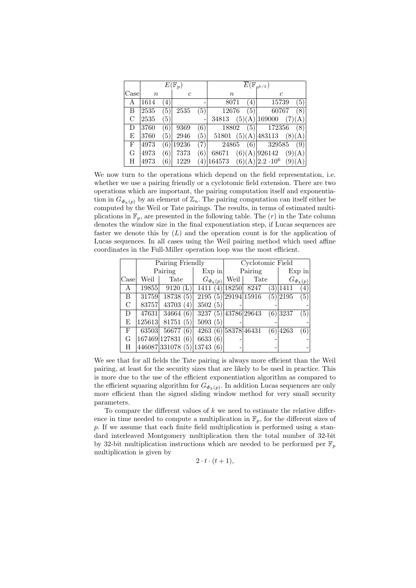|      | $E(\mathbb{F}_p)$ |                  |            |     | $\overline{E}(\mathbb{F}_{p^{k/2}})$ |        |                               |        |            |  |
|------|-------------------|------------------|------------|-----|--------------------------------------|--------|-------------------------------|--------|------------|--|
| Case | $\boldsymbol{n}$  |                  | $\epsilon$ |     |                                      | $\, n$ |                               |        | $\epsilon$ |  |
| А    | 1614              | $\left(4\right)$ |            |     | 8071                                 | (4)    | 15739                         | (5)    |            |  |
| Β    | 2535              | (5)              | 2535       | (5) | 12676                                | (5)    | 60767                         | (8)    |            |  |
| C    | 2535              | (5)              |            |     | 34813                                |        | (5)(A) 169000                 | (7)(A) |            |  |
| D    | 3760              | (6)              | 9369       | (6) | 18802                                | (5)    | 172356                        | (8)    |            |  |
| E    | 3760              | (5)              | 2946       | (5) |                                      |        | 51801 (5)(A) $ 483113$ (8)(A) |        |            |  |
| F    | 4973              |                  | (6) 19236  | (7) | 24865                                | (6)    | 329585                        | (9)    |            |  |
| G    | 4973              | (6)              | 7373       | (6) | 68671                                |        | (6)(A) 926142 (9)(A)          |        |            |  |
| Н    | 4973              | (6)              | 1229       | (4) | 164573                               |        | $(6)(A)$  2.2 $\cdot 10^6$    | (9)(A) |            |  |

We now turn to the operations which depend on the field representation, i.e. whether we use a pairing friendly or a cyclotomic field extension. There are two operations which are important, the pairing computation itself and exponentiation in  $G_{\Phi_k(p)}$  by an element of  $\mathbb{Z}_n$ . The pairing computation can itself either be computed by the Weil or Tate pairings. The results, in terms of estimated multiplications in  $\mathbb{F}_p$ , are presented in the following table. The  $(r)$  in the Tate column denotes the window size in the final exponentiation step, if Lucas sequences are faster we denote this by  $(L)$  and the operation count is for the application of Lucas sequences. In all cases using the Weil pairing method which used affine coordinates in the Full-Miller operation loop was the most efficient.

|               |              | Pairing Friendly            |                                                      | Cyclotomic Field |      |                              |  |  |
|---------------|--------------|-----------------------------|------------------------------------------------------|------------------|------|------------------------------|--|--|
|               |              | Pairing                     | $Exp$ in                                             | Pairing          |      | Exp in                       |  |  |
| Casel         | Weil<br>Tate |                             | $G_{\Phi_k(p)}$                                      | Weil<br>Tate     |      | $G_{\Phi_k(p)}$              |  |  |
| $\bf{A}$      | 19855        | 9120 (L)                    | 1411 (4)  18250                                      |                  | 8247 | (3) 1411<br>(4)              |  |  |
| B             | 31759        | 18738(5)                    | $2195(5)$ 29194 15916                                |                  |      | $(5) \overline{2195}$<br>(5) |  |  |
| $\mathcal{C}$ | 83757        | 43703(4)                    | 3502(5)                                              |                  |      |                              |  |  |
| D             | 47631        | 34664(6)                    | 3237 (5) 43786 29643                                 |                  |      | (5)<br>(6)3237               |  |  |
| Ε             | 125613       | 81751(5)                    | 5093(5)                                              |                  |      |                              |  |  |
| F             | 63503        | 56677 (6)                   | $4263\overline{(6)}\overline{58378}\overline{46431}$ |                  |      | (6)<br>$(6)$  4263           |  |  |
| G             |              | 167469 127831(6)            | 6633(6)                                              |                  |      |                              |  |  |
| Η             |              | 446087 331078 (5) 13743 (6) |                                                      |                  |      |                              |  |  |

We see that for all fields the Tate pairing is always more efficient than the Weil pairing, at least for the security sizes that are likely to be used in practice. This is more due to the use of the efficient exponentiation algorithm as compared to the efficient squaring algorithm for  $G_{\Phi_k(p)}$ . In addition Lucas sequences are only more efficient than the signed sliding window method for very small security parameters.

To compare the different values of  $k$  we need to estimate the relative difference in time needed to compute a multiplication in  $\mathbb{F}_p$ , for the different sizes of p. If we assume that each finite field multiplication is performed using a standard interleaved Montgomery multiplication then the total number of 32-bit by 32-bit multiplication instructions which are needed to be performed per  $\mathbb{F}_p$ multiplication is given by

$$
2 \cdot t \cdot (t+1),
$$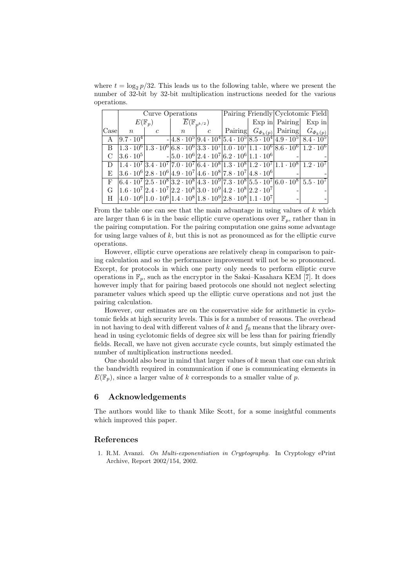where  $t = \log_2 p/32$ . This leads us to the following table, where we present the number of 32-bit by 32-bit multiplication instructions needed for the various operations.

|                |                    | Curve Operations |                                                   |                | Pairing Friendly Cyclotomic Field                                                             |  |                                 |                                                                                                                                                              |
|----------------|--------------------|------------------|---------------------------------------------------|----------------|-----------------------------------------------------------------------------------------------|--|---------------------------------|--------------------------------------------------------------------------------------------------------------------------------------------------------------|
|                | $E(\mathbb{F}_p)$  |                  | $\vert \qquad \overline{E}(\mathbb{F}_{p^{k/2}})$ |                |                                                                                               |  |                                 | $\left  \right $ Exp in Pairing Exp in                                                                                                                       |
| $ {\rm Case} $ | $\,n$              | $\epsilon$       | $\,n$                                             | $\mathfrak{c}$ |                                                                                               |  | Pairing $G_{\Phi_k(p)}$ Pairing | $G_{\varPhi_k(p)}$                                                                                                                                           |
| A              | $ 9.7 \cdot 10^4 $ |                  |                                                   |                |                                                                                               |  |                                 | $- 4.8\cdot10^5 9.4\cdot10^4 5.4\cdot10^5 8.5\cdot10^4 4.9\cdot10^5 8.4\cdot10^5 $                                                                           |
| B              |                    |                  |                                                   |                |                                                                                               |  |                                 | $1.3 \cdot 10^6 \mid 1.3 \cdot 10^6 \mid 6.8 \cdot 10^6 \mid 3.3 \cdot 10^7 \mid 1.0 \cdot 10^7 \mid 1.1 \cdot 10^6 \mid 8.6 \cdot 10^6 \mid 1.2 \cdot 10^6$ |
| $\mathcal{C}$  |                    |                  |                                                   |                | $ 3.6 \cdot 10^5 $ - $ 5.0 \cdot 10^6 2.4 \cdot 10^7 6.2 \cdot 10^6 1.1 \cdot 10^6 $          |  |                                 |                                                                                                                                                              |
| D              |                    |                  |                                                   |                |                                                                                               |  |                                 | $\frac{1.4 \cdot 10^7}{3.4 \cdot 10^7}{3.4 \cdot 10^7}{7.0 \cdot 10^7}{6.4 \cdot 10^8}{1.3 \cdot 10^8}{1.2 \cdot 10^7}{1.1 \cdot 10^8}{1.2 \cdot 10^7}$      |
| E              |                    |                  |                                                   |                | $ 3.6 \cdot 10^6 2.8 \cdot 10^6 4.9 \cdot 10^7 4.6 \cdot 10^8 7.8 \cdot 10^7 4.8 \cdot 10^6 $ |  |                                 |                                                                                                                                                              |
| F              |                    |                  |                                                   |                |                                                                                               |  |                                 | $\frac{6.4 \cdot 10^7}{2.5 \cdot 10^8}{3.2 \cdot 10^8}{4.3 \cdot 10^9}{7.3 \cdot 10^8}{5.5 \cdot 10^7}{6.0 \cdot 10^8}{5.5 \cdot 10^7}$                      |
| G              |                    |                  |                                                   |                | $ 1.6 \cdot 10^7 2.4 \cdot 10^7 2.2 \cdot 10^8 3.0 \cdot 10^9 4.2 \cdot 10^8 2.2 \cdot 10^7 $ |  |                                 |                                                                                                                                                              |
| H              |                    |                  |                                                   |                | $ 4.0 \cdot 10^6 1.0 \cdot 10^6 1.4 \cdot 10^8 1.8 \cdot 10^9 2.8 \cdot 10^8 1.1 \cdot 10^7 $ |  |                                 |                                                                                                                                                              |

From the table one can see that the main advantage in using values of  $k$  which are larger than 6 is in the basic elliptic curve operations over  $\mathbb{F}_p$ , rather than in the pairing computation. For the pairing computation one gains some advantage for using large values of  $k$ , but this is not as pronounced as for the elliptic curve operations.

However, elliptic curve operations are relatively cheap in comparison to pairing calculation and so the performance improvement will not be so pronounced. Except, for protocols in which one party only needs to perform elliptic curve operations in  $\mathbb{F}_p$ , such as the encryptor in the Sakai–Kasahara KEM [7]. It does however imply that for pairing based protocols one should not neglect selecting parameter values which speed up the elliptic curve operations and not just the pairing calculation.

However, our estimates are on the conservative side for arithmetic in cyclotomic fields at high security levels. This is for a number of reasons. The overhead in not having to deal with different values of  $k$  and  $f_0$  means that the library overhead in using cyclotomic fields of degree six will be less than for pairing friendly fields. Recall, we have not given accurate cycle counts, but simply estimated the number of multiplication instructions needed.

One should also bear in mind that larger values of  $k$  mean that one can shrink the bandwidth required in communication if one is communicating elements in  $E(\mathbb{F}_p)$ , since a larger value of k corresponds to a smaller value of p.

## 6 Acknowledgements

The authors would like to thank Mike Scott, for a some insightful comments which improved this paper.

## References

1. R.M. Avanzi. On Multi-exponentiation in Cryptography. In Cryptology ePrint Archive, Report 2002/154, 2002.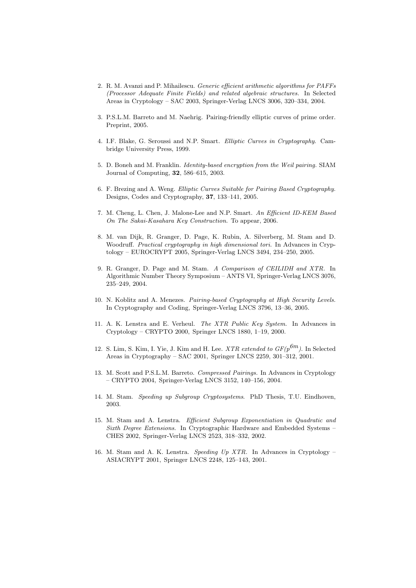- 2. R. M. Avanzi and P. Mihailescu. Generic efficient arithmetic algorithms for PAFFs (Processor Adequate Finite Fields) and related algebraic structures. In Selected Areas in Cryptology – SAC 2003, Springer-Verlag LNCS 3006, 320–334, 2004.
- 3. P.S.L.M. Barreto and M. Naehrig. Pairing-friendly elliptic curves of prime order. Preprint, 2005.
- 4. I.F. Blake, G. Seroussi and N.P. Smart. Elliptic Curves in Cryptography. Cambridge University Press, 1999.
- 5. D. Boneh and M. Franklin. Identity-based encryption from the Weil pairing. SIAM Journal of Computing, 32, 586–615, 2003.
- 6. F. Brezing and A. Weng. Elliptic Curves Suitable for Pairing Based Cryptography. Designs, Codes and Cryptography, 37, 133–141, 2005.
- 7. M. Cheng, L. Chen, J. Malone-Lee and N.P. Smart. An Efficient ID-KEM Based On The Sakai-Kasahara Key Construction. To appear, 2006.
- 8. M. van Dijk, R. Granger, D. Page, K. Rubin, A. Silverberg, M. Stam and D. Woodruff. Practical cryptography in high dimensional tori. In Advances in Cryptology – EUROCRYPT 2005, Springer-Verlag LNCS 3494, 234–250, 2005.
- 9. R. Granger, D. Page and M. Stam. A Comparison of CEILIDH and XTR. In Algorithmic Number Theory Symposium – ANTS VI, Springer-Verlag LNCS 3076, 235–249, 2004.
- 10. N. Koblitz and A. Menezes. Pairing-based Cryptography at High Security Levels. In Cryptography and Coding, Springer-Verlag LNCS 3796, 13–36, 2005.
- 11. A. K. Lenstra and E. Verheul. The XTR Public Key System. In Advances in Cryptology – CRYPTO 2000, Springer LNCS 1880, 1–19, 2000.
- 12. S. Lim, S. Kim, I. Yie, J. Kim and H. Lee. *XTR extended to*  $GF(p^{6m})$ . In Selected Areas in Cryptography – SAC 2001, Springer LNCS 2259, 301–312, 2001.
- 13. M. Scott and P.S.L.M. Barreto. Compressed Pairings. In Advances in Cryptology – CRYPTO 2004, Springer-Verlag LNCS 3152, 140–156, 2004.
- 14. M. Stam. Speeding up Subgroup Cryptosystems. PhD Thesis, T.U. Eindhoven, 2003.
- 15. M. Stam and A. Lenstra. Efficient Subgroup Exponentiation in Quadratic and Sixth Degree Extensions. In Cryptographic Hardware and Embedded Systems – CHES 2002, Springer-Verlag LNCS 2523, 318–332, 2002.
- 16. M. Stam and A. K. Lenstra. Speeding Up XTR. In Advances in Cryptology ASIACRYPT 2001, Springer LNCS 2248, 125–143, 2001.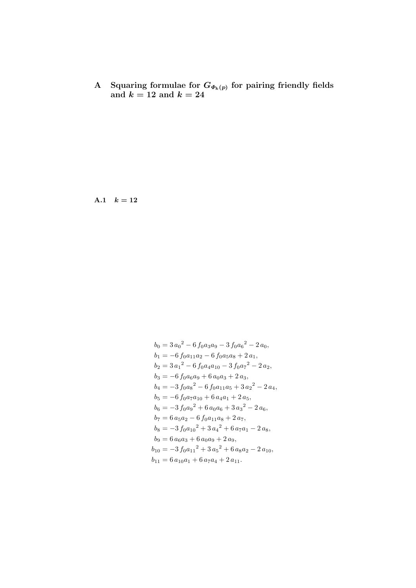A Squaring formulae for  $G_{\Phi_k(p)}$  for pairing friendly fields and  $k = 12$  and  $k = 24$ 

A.1  $k = 12$ 

 $b_0 = 3 a_0^2 - 6 f_0 a_3 a_9 - 3 f_0 a_6^2 - 2 a_0,$  $b_1 = -6 f_0 a_{11} a_2 - 6 f_0 a_5 a_8 + 2 a_1,$  $b_2 = 3 a_1^2 - 6 f_0 a_4 a_{10} - 3 f_0 a_7^2 - 2 a_2$  $b_3 = -6 f_0 a_6 a_9 + 6 a_0 a_3 + 2 a_3,$  $b_4 = -3 f_0 a_8^2 - 6 f_0 a_{11} a_5 + 3 a_2^2 - 2 a_4,$  $b_5 = -6 f_0 a_7 a_{10} + 6 a_4 a_1 + 2 a_5,$  $b_6 = -3 f_0 a_9^2 + 6 a_0 a_6 + 3 a_3^2 - 2 a_6,$  $b_7 = 6 a_5 a_2 - 6 f_0 a_{11} a_8 + 2 a_7,$  $b_8 = -3 f_0 a_{10}^2 + 3 a_4^2 + 6 a_7 a_1 - 2 a_8,$  $b_9 = 6 a_6 a_3 + 6 a_0 a_9 + 2 a_9,$  $b_{10} = -3 f_0 a_{11}^2 + 3 a_5^2 + 6 a_8 a_2 - 2 a_{10}$  $b_{11} = 6 a_{10} a_1 + 6 a_7 a_4 + 2 a_{11}.$